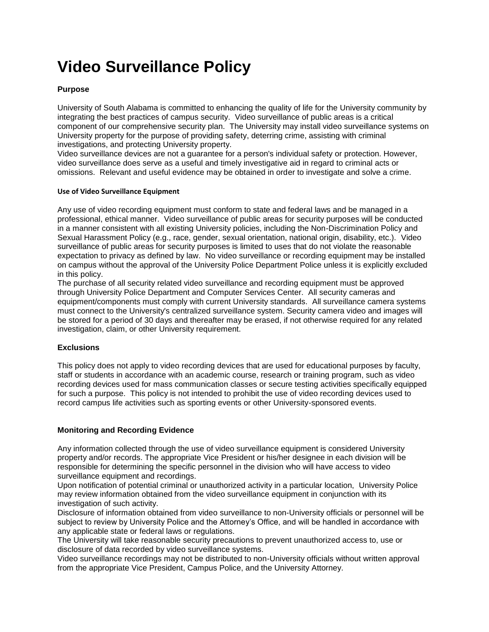# **Video Surveillance Policy**

### **Purpose**

University of South Alabama is committed to enhancing the quality of life for the University community by integrating the best practices of campus security. Video surveillance of public areas is a critical component of our comprehensive security plan. The University may install video surveillance systems on University property for the purpose of providing safety, deterring crime, assisting with criminal investigations, and protecting University property.

Video surveillance devices are not a guarantee for a person's individual safety or protection. However, video surveillance does serve as a useful and timely investigative aid in regard to criminal acts or omissions. Relevant and useful evidence may be obtained in order to investigate and solve a crime.

#### **Use of Video Surveillance Equipment**

Any use of video recording equipment must conform to state and federal laws and be managed in a professional, ethical manner. Video surveillance of public areas for security purposes will be conducted in a manner consistent with all existing University policies, including the Non-Discrimination Policy and Sexual Harassment Policy (e.g., race, gender, sexual orientation, national origin, disability, etc.). Video surveillance of public areas for security purposes is limited to uses that do not violate the reasonable expectation to privacy as defined by law. No video surveillance or recording equipment may be installed on campus without the approval of the University Police Department Police unless it is explicitly excluded in this policy.

The purchase of all security related video surveillance and recording equipment must be approved through University Police Department and Computer Services Center. All security cameras and equipment/components must comply with current University standards. All surveillance camera systems must connect to the University's centralized surveillance system. Security camera video and images will be stored for a period of 30 days and thereafter may be erased, if not otherwise required for any related investigation, claim, or other University requirement.

### **Exclusions**

This policy does not apply to video recording devices that are used for educational purposes by faculty, staff or students in accordance with an academic course, research or training program, such as video recording devices used for mass communication classes or secure testing activities specifically equipped for such a purpose. This policy is not intended to prohibit the use of video recording devices used to record campus life activities such as sporting events or other University-sponsored events.

### **Monitoring and Recording Evidence**

Any information collected through the use of video surveillance equipment is considered University property and/or records. The appropriate Vice President or his/her designee in each division will be responsible for determining the specific personnel in the division who will have access to video surveillance equipment and recordings.

Upon notification of potential criminal or unauthorized activity in a particular location, University Police may review information obtained from the video surveillance equipment in conjunction with its investigation of such activity.

Disclosure of information obtained from video surveillance to non-University officials or personnel will be subject to review by University Police and the Attorney's Office, and will be handled in accordance with any applicable state or federal laws or regulations.

The University will take reasonable security precautions to prevent unauthorized access to, use or disclosure of data recorded by video surveillance systems.

Video surveillance recordings may not be distributed to non-University officials without written approval from the appropriate Vice President, Campus Police, and the University Attorney.